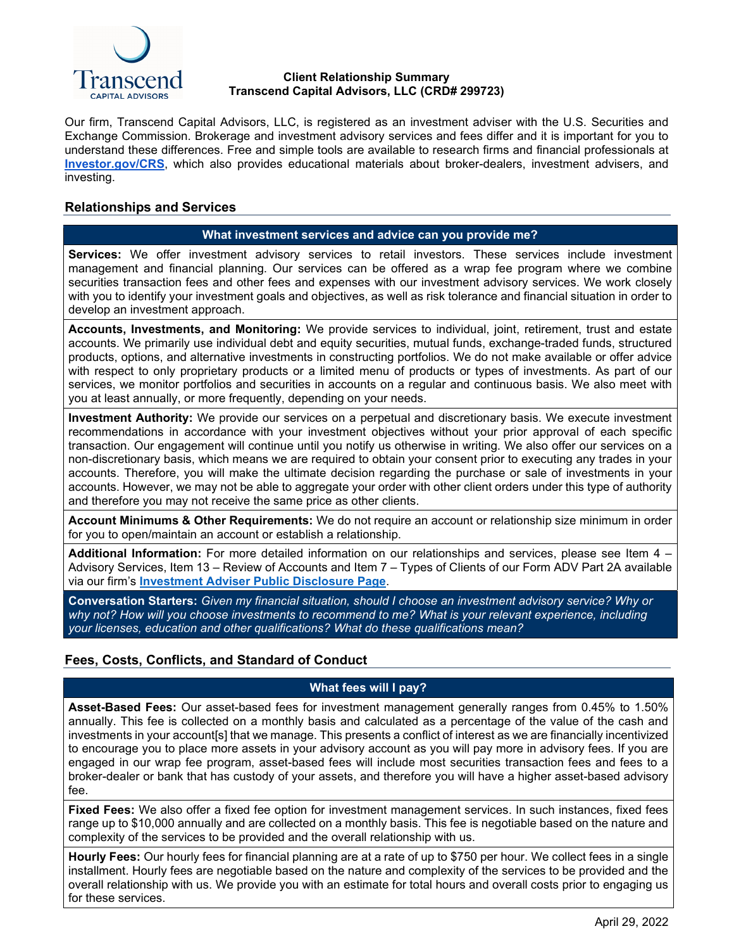

#### **Client Relationship Summary Transcend Capital Advisors, LLC (CRD# 299723)**

Our firm, Transcend Capital Advisors, LLC, is registered as an investment adviser with the U.S. Securities and Exchange Commission. Brokerage and investment advisory services and fees differ and it is important for you to understand these differences. Free and simple tools are available to research firms and financial professionals at **[Investor.gov/CRS](http://investor.gov/CRS)**, which also provides educational materials about broker-dealers, investment advisers, and investing.

## **Relationships and Services**

#### **What investment services and advice can you provide me?**

**Services:** We offer investment advisory services to retail investors. These services include investment management and financial planning. Our services can be offered as a wrap fee program where we combine securities transaction fees and other fees and expenses with our investment advisory services. We work closely with you to identify your investment goals and objectives, as well as risk tolerance and financial situation in order to develop an investment approach.

**Accounts, Investments, and Monitoring:** We provide services to individual, joint, retirement, trust and estate accounts. We primarily use individual debt and equity securities, mutual funds, exchange-traded funds, structured products, options, and alternative investments in constructing portfolios. We do not make available or offer advice with respect to only proprietary products or a limited menu of products or types of investments. As part of our services, we monitor portfolios and securities in accounts on a regular and continuous basis. We also meet with you at least annually, or more frequently, depending on your needs.

**Investment Authority:** We provide our services on a perpetual and discretionary basis. We execute investment recommendations in accordance with your investment objectives without your prior approval of each specific transaction. Our engagement will continue until you notify us otherwise in writing. We also offer our services on a non-discretionary basis, which means we are required to obtain your consent prior to executing any trades in your accounts. Therefore, you will make the ultimate decision regarding the purchase or sale of investments in your accounts. However, we may not be able to aggregate your order with other client orders under this type of authority and therefore you may not receive the same price as other clients.

**Account Minimums & Other Requirements:** We do not require an account or relationship size minimum in order for you to open/maintain an account or establish a relationship.

**Additional Information:** For more detailed information on our relationships and services, please see Item 4 – Advisory Services, Item 13 – Review of Accounts and Item 7 – Types of Clients of our Form ADV Part 2A available via our firm's **[Investment Adviser Public Disclosure Page](https://adviserinfo.sec.gov/firm/brochure/299723)**.

**Conversation Starters:** *Given my financial situation, should I choose an investment advisory service? Why or why not? How will you choose investments to recommend to me? What is your relevant experience, including your licenses, education and other qualifications? What do these qualifications mean?*

## **Fees, Costs, Conflicts, and Standard of Conduct**

## **What fees will I pay?**

**Asset-Based Fees:** Our asset-based fees for investment management generally ranges from 0.45% to 1.50% annually. This fee is collected on a monthly basis and calculated as a percentage of the value of the cash and investments in your account[s] that we manage. This presents a conflict of interest as we are financially incentivized to encourage you to place more assets in your advisory account as you will pay more in advisory fees. If you are engaged in our wrap fee program, asset-based fees will include most securities transaction fees and fees to a broker-dealer or bank that has custody of your assets, and therefore you will have a higher asset-based advisory fee.

**Fixed Fees:** We also offer a fixed fee option for investment management services. In such instances, fixed fees range up to \$10,000 annually and are collected on a monthly basis. This fee is negotiable based on the nature and complexity of the services to be provided and the overall relationship with us.

**Hourly Fees:** Our hourly fees for financial planning are at a rate of up to \$750 per hour. We collect fees in a single installment. Hourly fees are negotiable based on the nature and complexity of the services to be provided and the overall relationship with us. We provide you with an estimate for total hours and overall costs prior to engaging us for these services.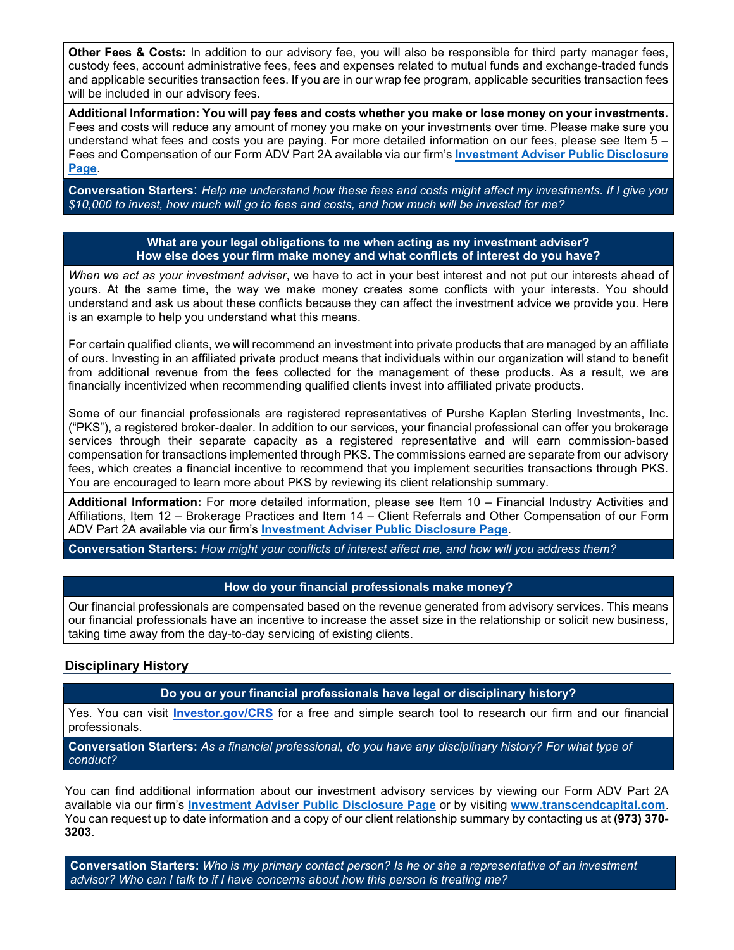**Other Fees & Costs:** In addition to our advisory fee, you will also be responsible for third party manager fees, custody fees, account administrative fees, fees and expenses related to mutual funds and exchange-traded funds and applicable securities transaction fees. If you are in our wrap fee program, applicable securities transaction fees will be included in our advisory fees.

**Additional Information: You will pay fees and costs whether you make or lose money on your investments.**  Fees and costs will reduce any amount of money you make on your investments over time. Please make sure you understand what fees and costs you are paying. For more detailed information on our fees, please see Item 5 – Fees and Compensation of our Form ADV Part 2A available via our firm's **[Investment Adviser Public Disclosure](https://adviserinfo.sec.gov/firm/brochure/299723)  [Page](https://adviserinfo.sec.gov/firm/brochure/299723)**.

**Conversation Starters**: *Help me understand how these fees and costs might affect my investments. If I give you \$10,000 to invest, how much will go to fees and costs, and how much will be invested for me?*

#### **What are your legal obligations to me when acting as my investment adviser? How else does your firm make money and what conflicts of interest do you have?**

*When we act as your investment adviser*, we have to act in your best interest and not put our interests ahead of yours. At the same time, the way we make money creates some conflicts with your interests. You should understand and ask us about these conflicts because they can affect the investment advice we provide you. Here is an example to help you understand what this means.

For certain qualified clients, we will recommend an investment into private products that are managed by an affiliate of ours. Investing in an affiliated private product means that individuals within our organization will stand to benefit from additional revenue from the fees collected for the management of these products. As a result, we are financially incentivized when recommending qualified clients invest into affiliated private products.

Some of our financial professionals are registered representatives of Purshe Kaplan Sterling Investments, Inc. ("PKS"), a registered broker-dealer. In addition to our services, your financial professional can offer you brokerage services through their separate capacity as a registered representative and will earn commission-based compensation for transactions implemented through PKS. The commissions earned are separate from our advisory fees, which creates a financial incentive to recommend that you implement securities transactions through PKS. You are encouraged to learn more about PKS by reviewing its client relationship summary.

**Additional Information:** For more detailed information, please see Item 10 – Financial Industry Activities and Affiliations, Item 12 – Brokerage Practices and Item 14 – Client Referrals and Other Compensation of our Form ADV Part 2A available via our firm's **[Investment Adviser Public Disclosure Page](https://adviserinfo.sec.gov/firm/brochure/299723)**.

**Conversation Starters:** *How might your conflicts of interest affect me, and how will you address them?*

## **How do your financial professionals make money?**

Our financial professionals are compensated based on the revenue generated from advisory services. This means our financial professionals have an incentive to increase the asset size in the relationship or solicit new business, taking time away from the day-to-day servicing of existing clients.

## **Disciplinary History**

**Do you or your financial professionals have legal or disciplinary history?**

Yes. You can visit **[Investor.gov/CRS](http://investor.gov/CRS)** for a free and simple search tool to research our firm and our financial professionals.

**Conversation Starters:** *As a financial professional, do you have any disciplinary history? For what type of conduct?*

You can find additional information about our investment advisory services by viewing our Form ADV Part 2A available via our firm's **[Investment Adviser Public Disclosure Page](https://adviserinfo.sec.gov/firm/brochure/299723)** or by visiting **[www.transcendcapital.com](https://transcendcapital.com/)**. You can request up to date information and a copy of our client relationship summary by contacting us at **(973) 370- 3203**.

**Conversation Starters:** *Who is my primary contact person? Is he or she a representative of an investment advisor? Who can I talk to if I have concerns about how this person is treating me?*